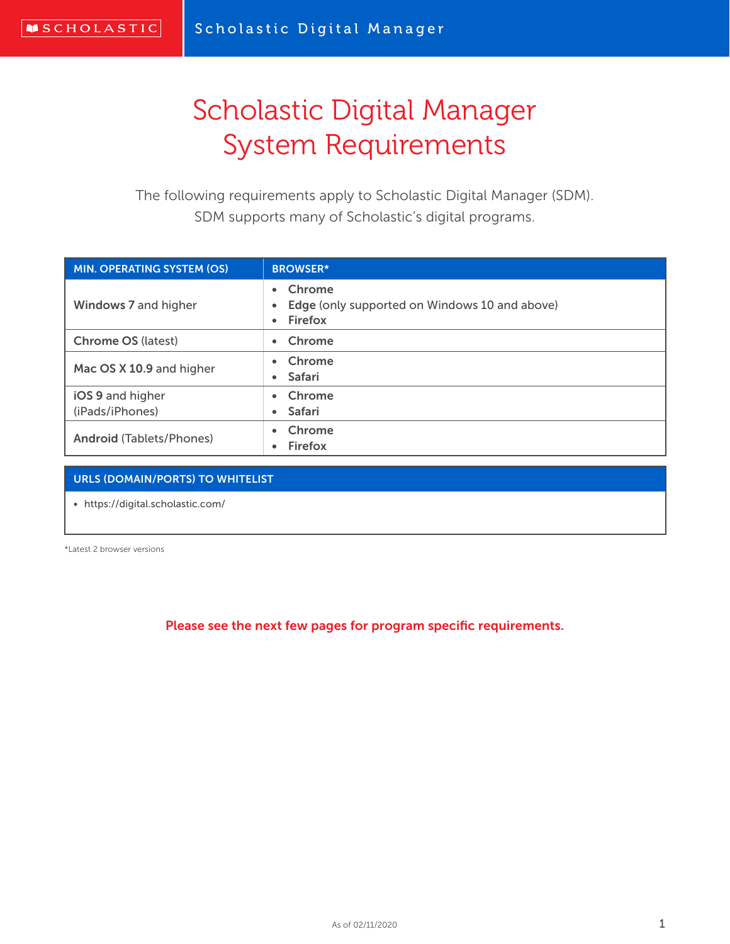## Scholastic Digital Manager System Requirements

The following requirements apply to Scholastic Digital Manager (SDM). SDM supports many of Scholastic's digital programs.

| <b>MIN. OPERATING SYSTEM (OS)</b> | <b>BROWSER*</b>                                                                              |
|-----------------------------------|----------------------------------------------------------------------------------------------|
| Windows 7 and higher              | Chrome<br>$\bullet$<br>Edge (only supported on Windows 10 and above)<br>Firefox<br>$\bullet$ |
| <b>Chrome OS (latest)</b>         | Chrome<br>$\bullet$                                                                          |
| Mac OS X 10.9 and higher          | Chrome<br><b>Safari</b><br>$\bullet$                                                         |
| iOS 9 and higher                  | Chrome                                                                                       |
| (iPads/iPhones)                   | <b>Safari</b><br>$\bullet$                                                                   |
| <b>Android (Tablets/Phones)</b>   | Chrome<br><b>Firefox</b>                                                                     |

### URLS (DOMAIN/PORTS) TO WHITELIST

• https://digital.scholastic.com/

\*Latest 2 browser versions

Please see the next few pages for program specific requirements.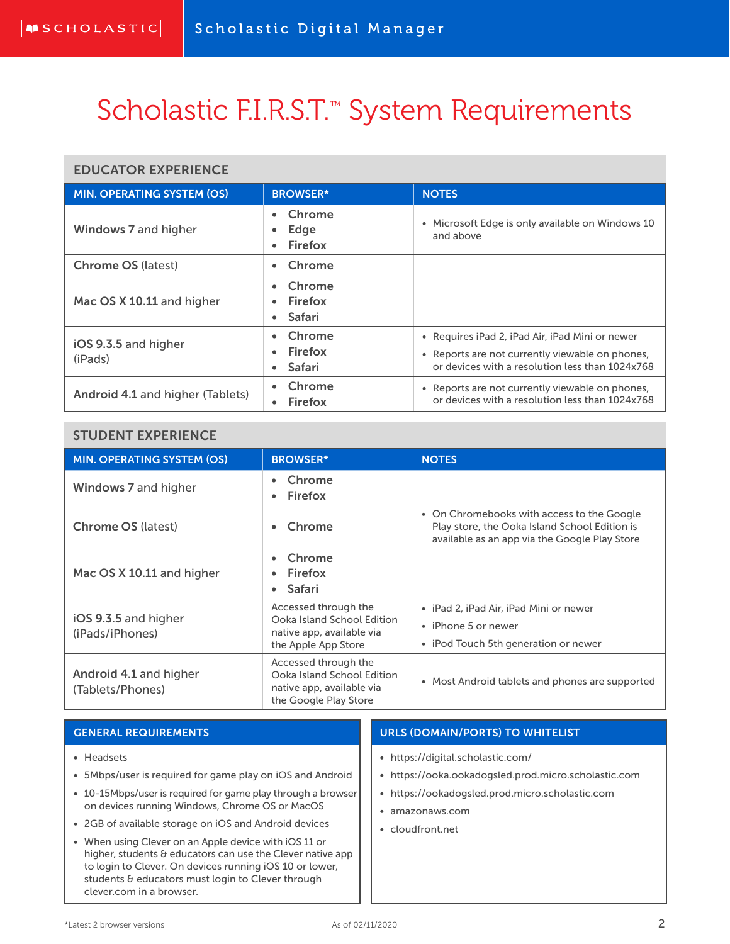# Scholastic F.I.R.S.T.<sup>™</sup> System Requirements

#### EDUCATOR EXPERIENCE

| <b>MIN. OPERATING SYSTEM (OS)</b> | <b>BROWSER*</b>                    | <b>NOTES</b>                                                                                                                                          |
|-----------------------------------|------------------------------------|-------------------------------------------------------------------------------------------------------------------------------------------------------|
| Windows 7 and higher              | Chrome<br>Edge<br>Firefox          | • Microsoft Edge is only available on Windows 10<br>and above                                                                                         |
| <b>Chrome OS (latest)</b>         | Chrome                             |                                                                                                                                                       |
| Mac OS X 10.11 and higher         | Chrome<br>Firefox<br><b>Safari</b> |                                                                                                                                                       |
| iOS 9.3.5 and higher<br>(iPads)   | Chrome<br>Firefox<br><b>Safari</b> | • Requires iPad 2, iPad Air, iPad Mini or newer<br>• Reports are not currently viewable on phones,<br>or devices with a resolution less than 1024x768 |
| Android 4.1 and higher (Tablets)  | Chrome<br>Firefox                  | • Reports are not currently viewable on phones,<br>or devices with a resolution less than 1024x768                                                    |

### STUDENT EXPERIENCE

| <b>MIN. OPERATING SYSTEM (OS)</b>          | <b>BROWSER*</b>                                                                                          | <b>NOTES</b>                                                                                                                                 |
|--------------------------------------------|----------------------------------------------------------------------------------------------------------|----------------------------------------------------------------------------------------------------------------------------------------------|
| Windows 7 and higher                       | Chrome<br><b>Firefox</b><br>$\bullet$                                                                    |                                                                                                                                              |
| <b>Chrome OS (latest)</b>                  | Chrome                                                                                                   | • On Chromebooks with access to the Google<br>Play store, the Ooka Island School Edition is<br>available as an app via the Google Play Store |
| Mac OS X 10.11 and higher                  | Chrome<br>Firefox<br>Safari                                                                              |                                                                                                                                              |
| iOS 9.3.5 and higher<br>(iPads/iPhones)    | Accessed through the<br>Ooka Island School Edition<br>native app, available via<br>the Apple App Store   | • iPad 2, iPad Air, iPad Mini or newer<br>• iPhone 5 or newer<br>• iPod Touch 5th generation or newer                                        |
| Android 4.1 and higher<br>(Tablets/Phones) | Accessed through the<br>Ooka Island School Edition<br>native app, available via<br>the Google Play Store | • Most Android tablets and phones are supported                                                                                              |

| <b>GENERAL REQUIREMENTS</b>                                                                                    | <b>URLS (DOMAIN/PORTS) TO WHITELIST</b>              |
|----------------------------------------------------------------------------------------------------------------|------------------------------------------------------|
| • Headsets                                                                                                     | • https://digital.scholastic.com/                    |
| • 5Mbps/user is required for game play on iOS and Android                                                      | • https://ooka.ookadogsled.prod.micro.scholastic.com |
| • 10-15Mbps/user is required for game play through a browser<br>on devices running Windows, Chrome OS or MacOS | • https://ookadogsled.prod.micro.scholastic.com      |
| • 2GB of available storage on iOS and Android devices                                                          | amazonaws.com<br>cloudfront.net                      |
| • When using Clever on an Apple device with iOS 11 or                                                          |                                                      |

clever.com in a browser.

higher, students & educators can use the Clever native app to login to Clever. On devices running iOS 10 or lower, students & educators must login to Clever through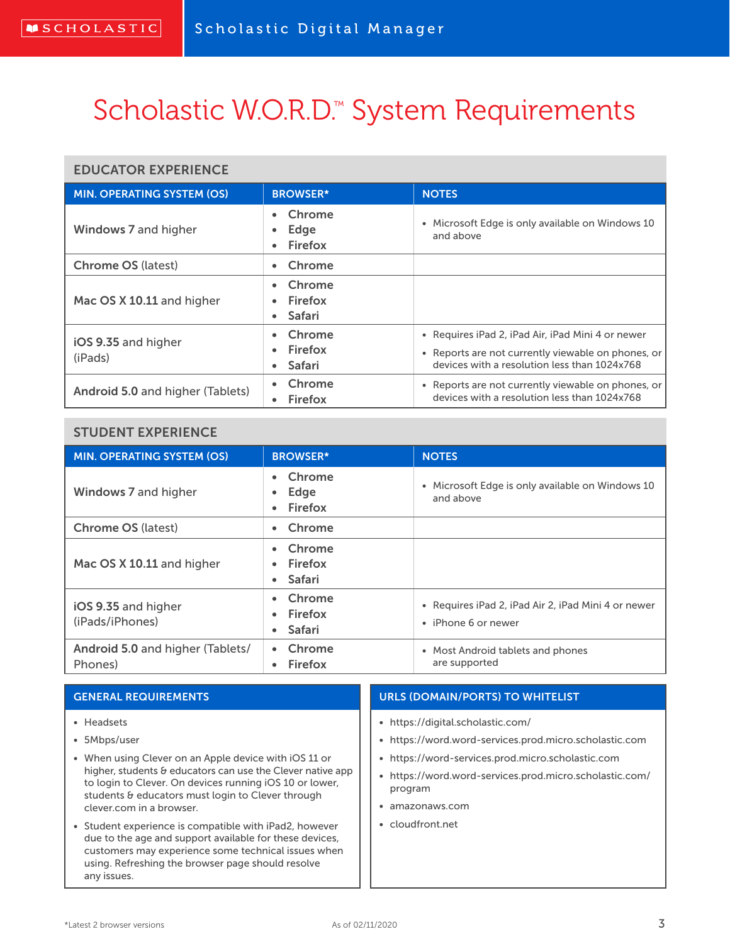# Scholastic W.O.R.D.<sup>™</sup> System Requirements

### EDUCATOR EXPERIENCE

| <b>MIN. OPERATING SYSTEM (OS)</b> | <b>BROWSER*</b>                         | <b>NOTES</b>                                                                                                                                            |
|-----------------------------------|-----------------------------------------|---------------------------------------------------------------------------------------------------------------------------------------------------------|
| Windows 7 and higher              | Chrome<br>Edge<br><b>Firefox</b>        | Microsoft Edge is only available on Windows 10<br>$\bullet$<br>and above                                                                                |
| <b>Chrome OS (latest)</b>         | Chrome                                  |                                                                                                                                                         |
| Mac OS X 10.11 and higher         | Chrome<br>$\bullet$ Firefox<br>• Safari |                                                                                                                                                         |
| iOS 9.35 and higher<br>(iPads)    | Chrome<br>• Firefox<br><b>Safari</b>    | • Requires iPad 2, iPad Air, iPad Mini 4 or newer<br>• Reports are not currently viewable on phones, or<br>devices with a resolution less than 1024x768 |
| Android 5.0 and higher (Tablets)  | Chrome<br><b>Firefox</b>                | • Reports are not currently viewable on phones, or<br>devices with a resolution less than 1024x768                                                      |

### STUDENT EXPERIENCE

| <b>MIN. OPERATING SYSTEM (OS)</b>           | <b>BROWSER*</b>                                                    | <b>NOTES</b>                                                               |
|---------------------------------------------|--------------------------------------------------------------------|----------------------------------------------------------------------------|
| Windows 7 and higher                        | Chrome<br>$\bullet$<br>Edge<br>$\bullet$<br>Firefox                | Microsoft Edge is only available on Windows 10<br>$\bullet$<br>and above   |
| <b>Chrome OS (latest)</b>                   | Chrome                                                             |                                                                            |
| Mac OS X 10.11 and higher                   | Chrome<br>$\bullet$<br>Firefox<br>$\bullet$<br>Safari<br>$\bullet$ |                                                                            |
| iOS 9.35 and higher<br>(iPads/iPhones)      | Chrome<br>Firefox<br>$\bullet$<br>Safari<br>$\bullet$              | • Requires iPad 2, iPad Air 2, iPad Mini 4 or newer<br>• iPhone 6 or newer |
| Android 5.0 and higher (Tablets/<br>Phones) | Chrome<br><b>Firefox</b>                                           | • Most Android tablets and phones<br>are supported                         |

#### GENERAL REQUIREMENTS • Headsets • 5Mbps/user • When using Clever on an Apple device with iOS 11 or higher, students & educators can use the Clever native app to login to Clever. On devices running iOS 10 or lower, students & educators must login to Clever through clever.com in a browser. • Student experience is compatible with iPad2, however due to the age and support available for these devices, customers may experience some technical issues when using. Refreshing the browser page should resolve URLS (DOMAIN/PORTS) TO WHITELIST • https://digital.scholastic.com/ • https://word.word-services.prod.micro.scholastic.com • https://word-services.prod.micro.scholastic.com • https://word.word-services.prod.micro.scholastic.com/ program • amazonaws.com • cloudfront.net

any issues.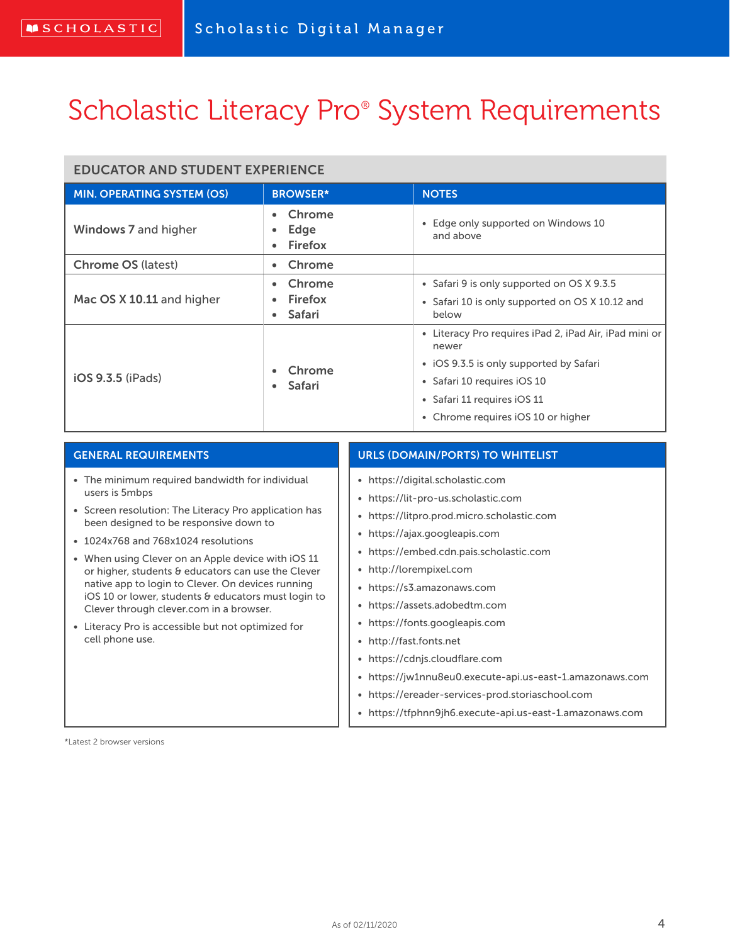## Scholastic Literacy Pro<sup>®</sup> System Requirements

### EDUCATOR AND STUDENT EXPERIENCE

| <b>MIN. OPERATING SYSTEM (OS)</b> | <b>BROWSER*</b>                        | <b>NOTES</b>                                                       |
|-----------------------------------|----------------------------------------|--------------------------------------------------------------------|
| Windows 7 and higher              | Chrome<br>$\bullet$<br>Edge<br>Firefox | Edge only supported on Windows 10<br>٠<br>and above                |
| <b>Chrome OS (latest)</b>         | Chrome                                 |                                                                    |
|                                   | Chrome                                 | • Safari 9 is only supported on OS X 9.3.5                         |
| Mac OS X 10.11 and higher         | Firefox<br>Safari                      | • Safari 10 is only supported on OS X 10.12 and<br>below           |
| iOS 9.3.5 (iPads)                 | Chrome<br><b>Safari</b><br>$\bullet$   | Literacy Pro requires iPad 2, iPad Air, iPad mini or<br>٠<br>newer |
|                                   |                                        | • iOS 9.3.5 is only supported by Safari                            |
|                                   |                                        | • Safari 10 requires iOS 10                                        |
|                                   |                                        | • Safari 11 requires iOS 11                                        |
|                                   |                                        | • Chrome requires iOS 10 or higher                                 |

#### GENERAL REQUIREMENTS

- The minimum required bandwidth for individual users is 5mbps
- Screen resolution: The Literacy Pro application has been designed to be responsive down to
- 1024x768 and 768x1024 resolutions
- When using Clever on an Apple device with iOS 11 or higher, students & educators can use the Clever native app to login to Clever. On devices running iOS 10 or lower, students & educators must login to Clever through clever.com in a browser.
- Literacy Pro is accessible but not optimized for cell phone use.

#### URLS (DOMAIN/PORTS) TO WHITELIST

- https://digital.scholastic.com
- https://lit-pro-us.scholastic.com
- https://litpro.prod.micro.scholastic.com
- https://ajax.googleapis.com
- https://embed.cdn.pais.scholastic.com
- http://lorempixel.com
- https://s3.amazonaws.com
- https://assets.adobedtm.com
- https://fonts.googleapis.com
- http://fast.fonts.net
- https://cdnjs.cloudflare.com
- https://jw1nnu8eu0.execute-api.us-east-1.amazonaws.com
- https://ereader-services-prod.storiaschool.com
- https://tfphnn9jh6.execute-api.us-east-1.amazonaws.com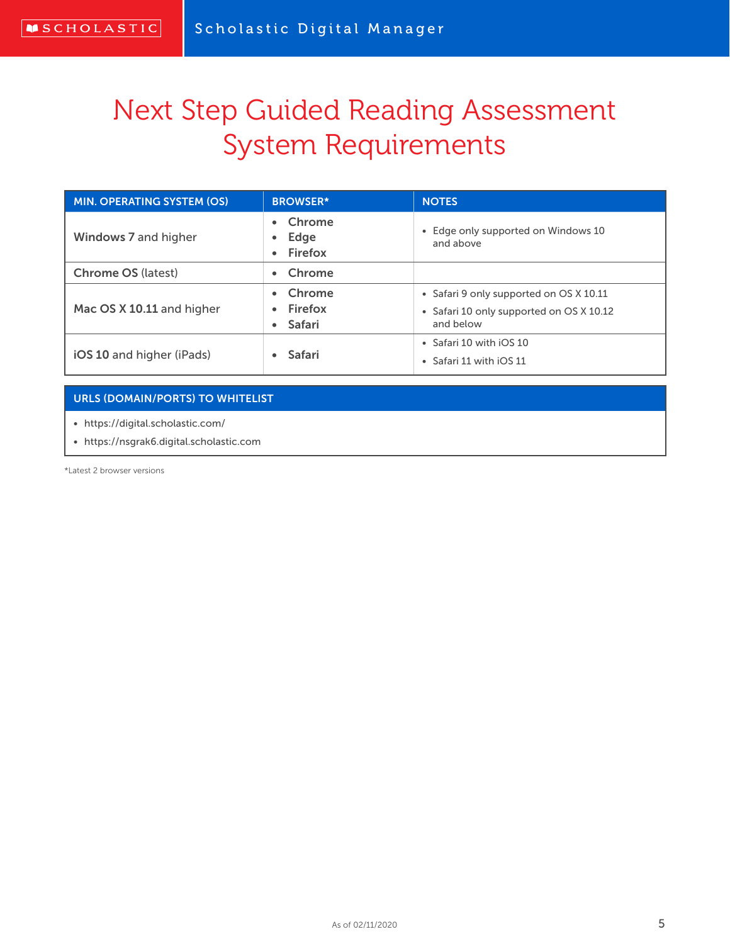# Next Step Guided Reading Assessment System Requirements

| <b>MIN. OPERATING SYSTEM (OS)</b> | <b>BROWSER*</b>             | <b>NOTES</b>                                                                                     |
|-----------------------------------|-----------------------------|--------------------------------------------------------------------------------------------------|
| Windows 7 and higher              | Chrome<br>Edge<br>Firefox   | • Edge only supported on Windows 10<br>and above                                                 |
| <b>Chrome OS (latest)</b>         | Chrome                      |                                                                                                  |
| Mac OS X 10.11 and higher         | Chrome<br>Firefox<br>Safari | • Safari 9 only supported on OS X 10.11<br>• Safari 10 only supported on OS X 10.12<br>and below |
| iOS 10 and higher (iPads)         | <b>Safari</b>               | • Safari 10 with iOS 10<br>• Safari 11 with iOS 11                                               |

#### URLS (DOMAIN/PORTS) TO WHITELIST

• https://digital.scholastic.com/

• https://nsgrak6.digital.scholastic.com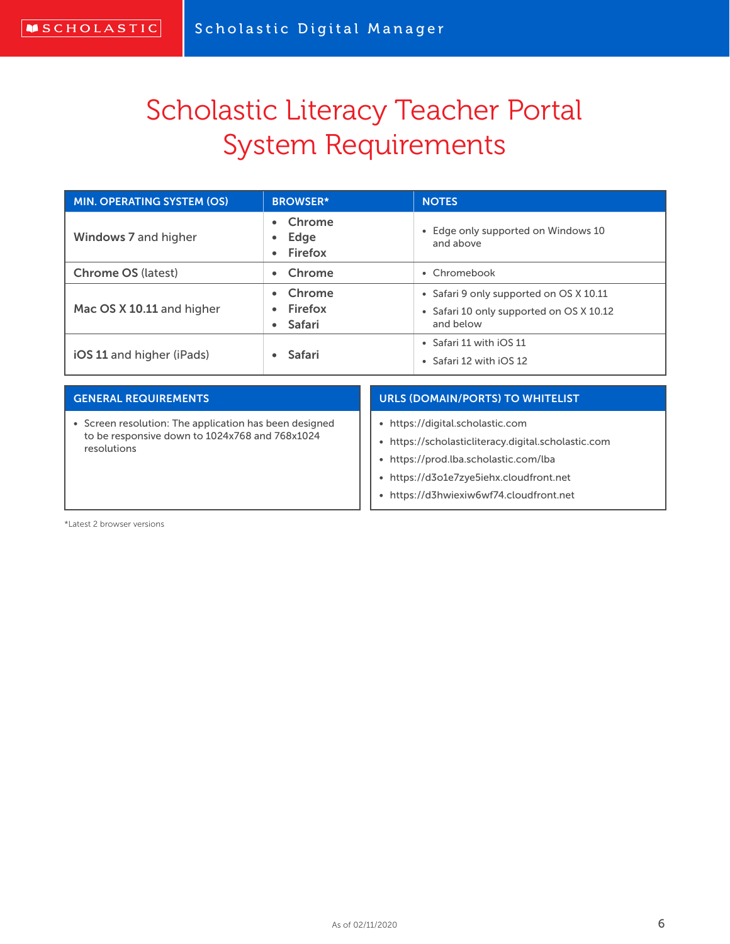# Scholastic Literacy Teacher Portal System Requirements

| <b>MIN. OPERATING SYSTEM (OS)</b> | <b>BROWSER*</b>                    | <b>NOTES</b>                                                                                     |
|-----------------------------------|------------------------------------|--------------------------------------------------------------------------------------------------|
| Windows 7 and higher              | Chrome<br>Edge<br><b>Firefox</b>   | Edge only supported on Windows 10<br>$\bullet$<br>and above                                      |
| <b>Chrome OS (latest)</b>         | • Chrome                           | • Chromebook                                                                                     |
| Mac OS X 10.11 and higher         | Chrome<br>Firefox<br><b>Safari</b> | • Safari 9 only supported on OS X 10.11<br>• Safari 10 only supported on OS X 10.12<br>and below |
| iOS 11 and higher (iPads)         | <b>Safari</b>                      | • Safari 11 with iOS 11<br>• Safari 12 with iOS 12                                               |

| <b>GENERAL REQUIREMENTS</b>                                   | <b>URLS (DOMAIN/PORTS) TO WHITELIST</b>             |
|---------------------------------------------------------------|-----------------------------------------------------|
| Screen resolution: The application has been designed          | • https://digital.scholastic.com                    |
| to be responsive down to 1024x768 and 768x1024<br>resolutions | • https://scholasticliteracy.digital.scholastic.com |
|                                                               | • https://prod.lba.scholastic.com/lba               |
|                                                               | • https://d3o1e7zye5iehx.cloudfront.net             |
|                                                               | • https://d3hwiexiw6wf74.cloudfront.net             |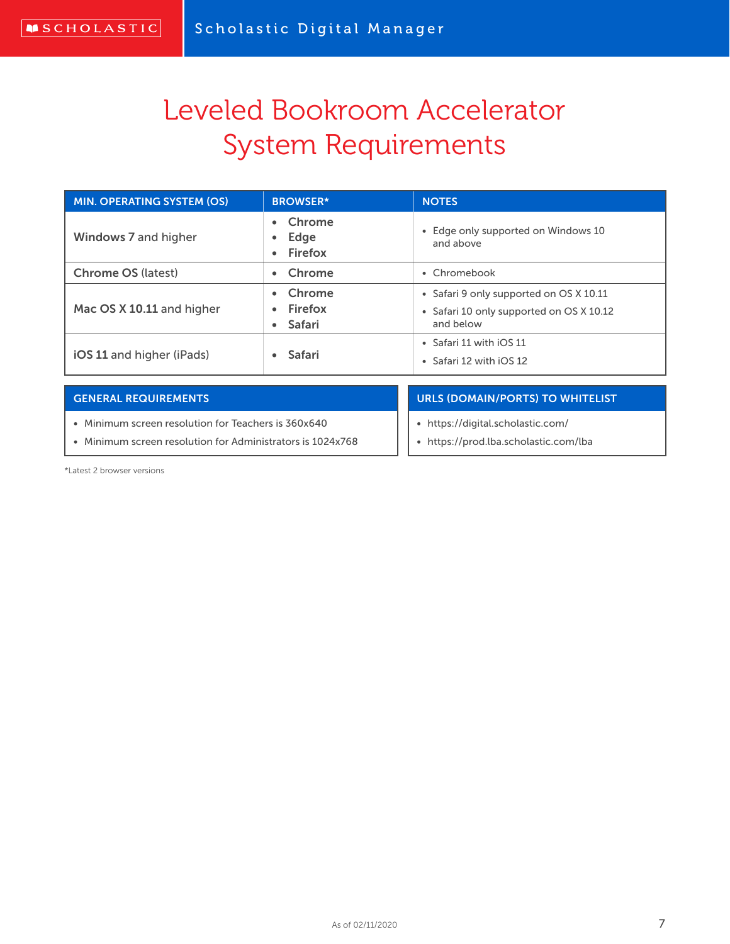# Leveled Bookroom Accelerator System Requirements

| <b>MIN. OPERATING SYSTEM (OS)</b> | <b>BROWSER*</b>               | <b>NOTES</b>                                                                                     |
|-----------------------------------|-------------------------------|--------------------------------------------------------------------------------------------------|
| Windows 7 and higher              | Chrome<br>Edge<br>• Firefox   | • Edge only supported on Windows 10<br>and above                                                 |
| <b>Chrome OS (latest)</b>         | • Chrome                      | • Chromebook                                                                                     |
| Mac OS X 10.11 and higher         | Chrome<br>Firefox<br>• Safari | • Safari 9 only supported on OS X 10.11<br>• Safari 10 only supported on OS X 10.12<br>and below |
| iOS 11 and higher (iPads)         | <b>Safari</b>                 | • Safari 11 with iOS 11<br>• Safari 12 with iOS 12                                               |

#### GENERAL REQUIREMENTS

• Minimum screen resolution for Teachers is 360x640

• Minimum screen resolution for Administrators is 1024x768

#### URLS (DOMAIN/PORTS) TO WHITELIST

- https://digital.scholastic.com/
- https://prod.lba.scholastic.com/lba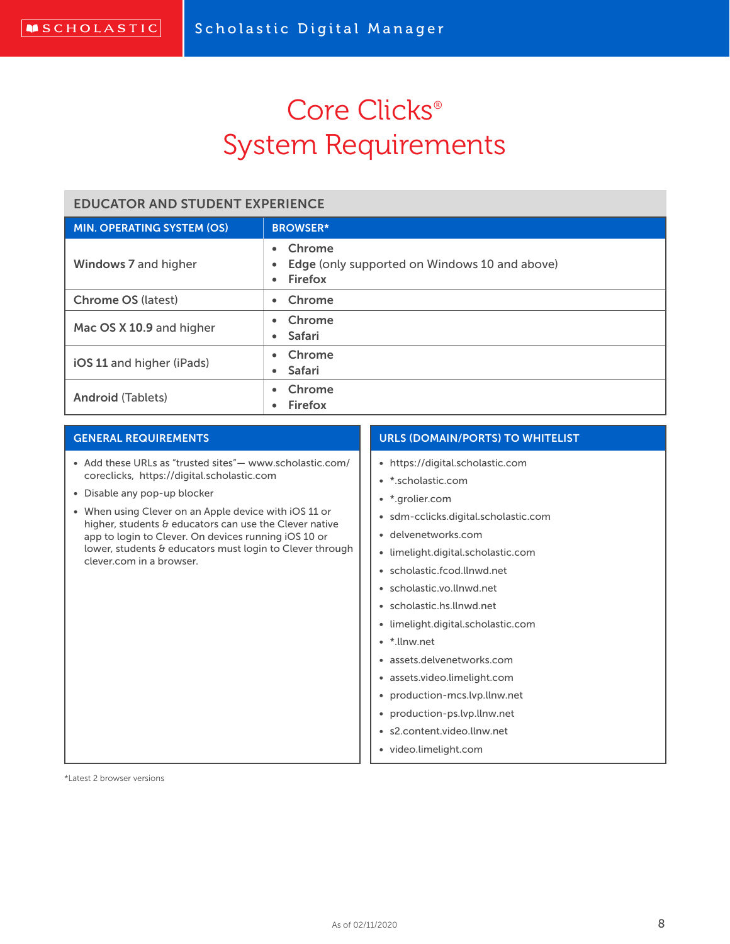# Core Clicks<sup>®</sup> System Requirements

### EDUCATOR AND STUDENT EXPERIENCE

| <b>MIN. OPERATING SYSTEM (OS)</b> | <b>BROWSER*</b>                                                                              |
|-----------------------------------|----------------------------------------------------------------------------------------------|
| Windows 7 and higher              | Chrome<br>$\bullet$<br>Edge (only supported on Windows 10 and above)<br>Firefox<br>$\bullet$ |
| <b>Chrome OS (latest)</b>         | • Chrome                                                                                     |
| Mac OS X 10.9 and higher          | • Chrome<br>• Safari                                                                         |
| iOS 11 and higher (iPads)         | Chrome<br>• Safari                                                                           |
| <b>Android (Tablets)</b>          | • Chrome<br>Firefox                                                                          |

#### GENERAL REQUIREMENTS

- Add these URLs as "trusted sites"— www.scholastic.com/ coreclicks, https://digital.scholastic.com
- Disable any pop-up blocker
- When using Clever on an Apple device with iOS 11 or higher, students & educators can use the Clever native app to login to Clever. On devices running iOS 10 or lower, students & educators must login to Clever through clever.com in a browser.

### URLS (DOMAIN/PORTS) TO WHITELIST

- https://digital.scholastic.com
- \*.scholastic.com
- \*.grolier.com
- sdm-cclicks.digital.scholastic.com
- delvenetworks.com
- limelight.digital.scholastic.com
- scholastic.fcod.llnwd.net
- scholastic.vo.llnwd.net
- scholastic.hs.llnwd.net
- limelight.digital.scholastic.com
- \*.llnw.net
- assets.delvenetworks.com
- assets.video.limelight.com
- production-mcs.lvp.llnw.net
- production-ps.lvp.llnw.net
- s2.content.video.llnw.net
- video.limelight.com